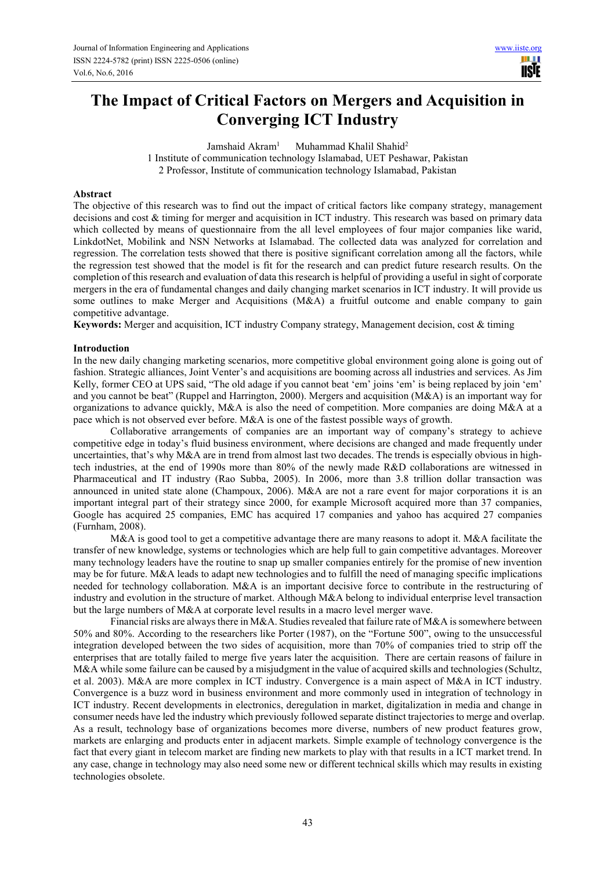# **The Impact of Critical Factors on Mergers and Acquisition in Converging ICT Industry**

Jamshaid Akram<sup>1</sup> Muhammad Khalil Shahid<sup>2</sup> 1 Institute of communication technology Islamabad, UET Peshawar, Pakistan 2 Professor, Institute of communication technology Islamabad, Pakistan

#### **Abstract**

The objective of this research was to find out the impact of critical factors like company strategy, management decisions and cost & timing for merger and acquisition in ICT industry. This research was based on primary data which collected by means of questionnaire from the all level employees of four major companies like warid, LinkdotNet, Mobilink and NSN Networks at Islamabad. The collected data was analyzed for correlation and regression. The correlation tests showed that there is positive significant correlation among all the factors, while the regression test showed that the model is fit for the research and can predict future research results. On the completion of this research and evaluation of data this research is helpful of providing a useful in sight of corporate mergers in the era of fundamental changes and daily changing market scenarios in ICT industry. It will provide us some outlines to make Merger and Acquisitions (M&A) a fruitful outcome and enable company to gain competitive advantage.

**Keywords:** Merger and acquisition, ICT industry Company strategy, Management decision, cost & timing

#### **Introduction**

In the new daily changing marketing scenarios, more competitive global environment going alone is going out of fashion. Strategic alliances, Joint Venter's and acquisitions are booming across all industries and services. As Jim Kelly, former CEO at UPS said, "The old adage if you cannot beat 'em' joins 'em' is being replaced by join 'em' and you cannot be beat" (Ruppel and Harrington, 2000). Mergers and acquisition (M&A) is an important way for organizations to advance quickly, M&A is also the need of competition. More companies are doing M&A at a pace which is not observed ever before. M&A is one of the fastest possible ways of growth.

Collaborative arrangements of companies are an important way of company's strategy to achieve competitive edge in today's fluid business environment, where decisions are changed and made frequently under uncertainties, that's why M&A are in trend from almost last two decades. The trends is especially obvious in hightech industries, at the end of 1990s more than 80% of the newly made R&D collaborations are witnessed in Pharmaceutical and IT industry (Rao Subba, 2005). In 2006, more than 3.8 trillion dollar transaction was announced in united state alone (Champoux, 2006). M&A are not a rare event for major corporations it is an important integral part of their strategy since 2000, for example Microsoft acquired more than 37 companies, Google has acquired 25 companies, EMC has acquired 17 companies and yahoo has acquired 27 companies (Furnham, 2008).

M&A is good tool to get a competitive advantage there are many reasons to adopt it. M&A facilitate the transfer of new knowledge, systems or technologies which are help full to gain competitive advantages. Moreover many technology leaders have the routine to snap up smaller companies entirely for the promise of new invention may be for future. M&A leads to adapt new technologies and to fulfill the need of managing specific implications needed for technology collaboration. M&A is an important decisive force to contribute in the restructuring of industry and evolution in the structure of market. Although M&A belong to individual enterprise level transaction but the large numbers of M&A at corporate level results in a macro level merger wave.

Financial risks are always there in M&A. Studies revealed that failure rate of M&A is somewhere between 50% and 80%. According to the researchers like Porter (1987), on the "Fortune 500", owing to the unsuccessful integration developed between the two sides of acquisition, more than 70% of companies tried to strip off the enterprises that are totally failed to merge five years later the acquisition. There are certain reasons of failure in M&A while some failure can be caused by a misjudgment in the value of acquired skills and technologies (Schultz, et al. 2003). M&A are more complex in ICT industry. Convergence is a main aspect of M&A in ICT industry. Convergence is a buzz word in business environment and more commonly used in integration of technology in ICT industry. Recent developments in electronics, deregulation in market, digitalization in media and change in consumer needs have led the industry which previously followed separate distinct trajectories to merge and overlap. As a result, technology base of organizations becomes more diverse, numbers of new product features grow, markets are enlarging and products enter in adjacent markets. Simple example of technology convergence is the fact that every giant in telecom market are finding new markets to play with that results in a ICT market trend. In any case, change in technology may also need some new or different technical skills which may results in existing technologies obsolete.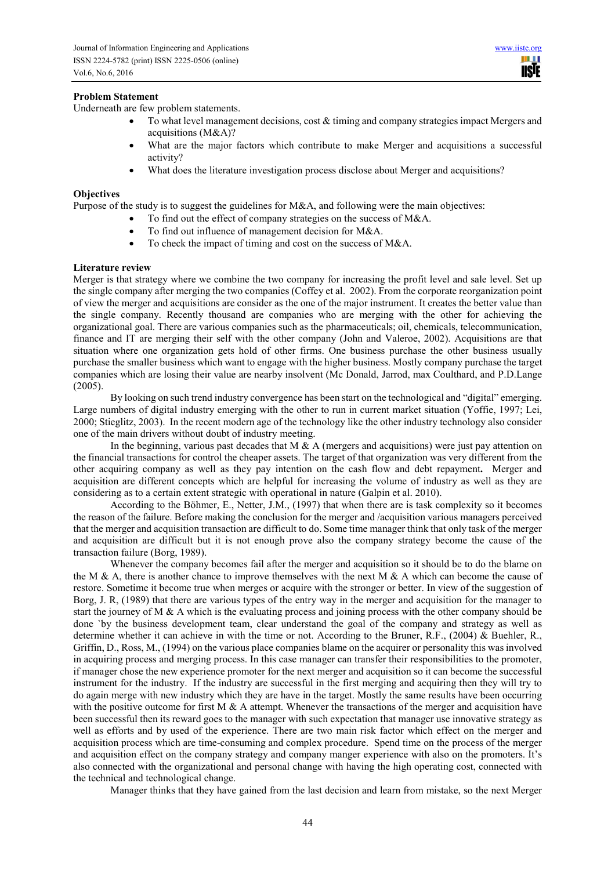## **Problem Statement**

Underneath are few problem statements.

- To what level management decisions, cost  $&$  timing and company strategies impact Mergers and acquisitions (M&A)?
- What are the major factors which contribute to make Merger and acquisitions a successful activity?
- What does the literature investigation process disclose about Merger and acquisitions?

#### **Objectives**

Purpose of the study is to suggest the guidelines for M&A, and following were the main objectives:

- To find out the effect of company strategies on the success of M&A.
- To find out influence of management decision for M&A.
- To check the impact of timing and cost on the success of M&A.

#### **Literature review**

Merger is that strategy where we combine the two company for increasing the profit level and sale level. Set up the single company after merging the two companies (Coffey et al. 2002). From the corporate reorganization point of view the merger and acquisitions are consider as the one of the major instrument. It creates the better value than the single company. Recently thousand are companies who are merging with the other for achieving the organizational goal. There are various companies such as the pharmaceuticals; oil, chemicals, telecommunication, finance and IT are merging their self with the other company (John and Valeroe, 2002). Acquisitions are that situation where one organization gets hold of other firms. One business purchase the other business usually purchase the smaller business which want to engage with the higher business. Mostly company purchase the target companies which are losing their value are nearby insolvent (Mc Donald, Jarrod, max Coulthard, and P.D.Lange (2005).

By looking on such trend industry convergence has been start on the technological and "digital" emerging. Large numbers of digital industry emerging with the other to run in current market situation (Yoffie, 1997; Lei, 2000; Stieglitz, 2003). In the recent modern age of the technology like the other industry technology also consider one of the main drivers without doubt of industry meeting.

In the beginning, various past decades that M  $\&$  A (mergers and acquisitions) were just pay attention on the financial transactions for control the cheaper assets. The target of that organization was very different from the other acquiring company as well as they pay intention on the cash flow and debt repayment**.** Merger and acquisition are different concepts which are helpful for increasing the volume of industry as well as they are considering as to a certain extent strategic with operational in nature (Galpin et al. 2010).

According to the Böhmer, E., Netter, J.M., (1997) that when there are is task complexity so it becomes the reason of the failure. Before making the conclusion for the merger and /acquisition various managers perceived that the merger and acquisition transaction are difficult to do. Some time manager think that only task of the merger and acquisition are difficult but it is not enough prove also the company strategy become the cause of the transaction failure (Borg, 1989).

Whenever the company becomes fail after the merger and acquisition so it should be to do the blame on the M & A, there is another chance to improve themselves with the next M & A which can become the cause of restore. Sometime it become true when merges or acquire with the stronger or better. In view of the suggestion of Borg, J. R, (1989) that there are various types of the entry way in the merger and acquisition for the manager to start the journey of M & A which is the evaluating process and joining process with the other company should be done `by the business development team, clear understand the goal of the company and strategy as well as determine whether it can achieve in with the time or not. According to the Bruner, R.F., (2004) & Buehler, R., Griffin, D., Ross, M., (1994) on the various place companies blame on the acquirer or personality this was involved in acquiring process and merging process. In this case manager can transfer their responsibilities to the promoter, if manager chose the new experience promoter for the next merger and acquisition so it can become the successful instrument for the industry. If the industry are successful in the first merging and acquiring then they will try to do again merge with new industry which they are have in the target. Mostly the same results have been occurring with the positive outcome for first M  $\&$  A attempt. Whenever the transactions of the merger and acquisition have been successful then its reward goes to the manager with such expectation that manager use innovative strategy as well as efforts and by used of the experience. There are two main risk factor which effect on the merger and acquisition process which are time-consuming and complex procedure. Spend time on the process of the merger and acquisition effect on the company strategy and company manger experience with also on the promoters. It's also connected with the organizational and personal change with having the high operating cost, connected with the technical and technological change.

Manager thinks that they have gained from the last decision and learn from mistake, so the next Merger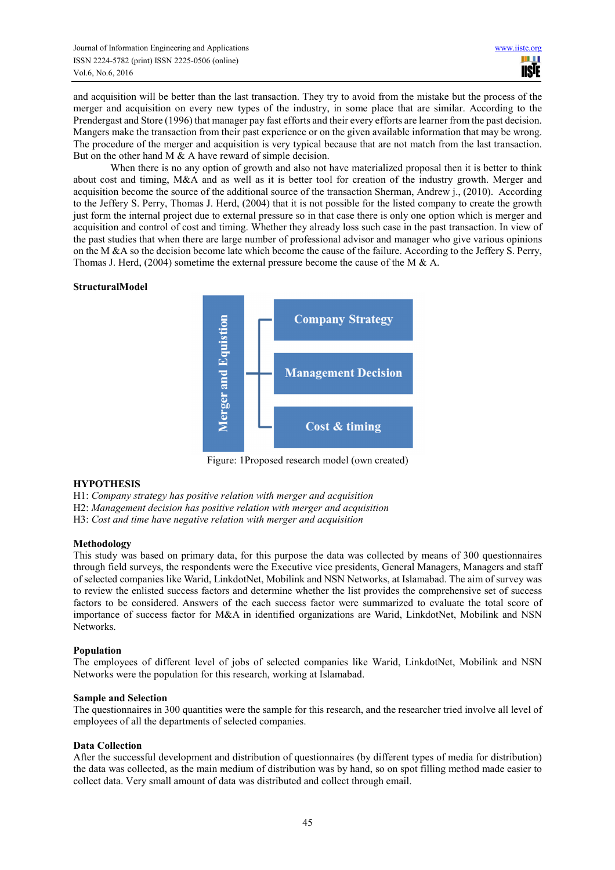and acquisition will be better than the last transaction. They try to avoid from the mistake but the process of the merger and acquisition on every new types of the industry, in some place that are similar. According to the Prendergast and Store (1996) that manager pay fast efforts and their every efforts are learner from the past decision. Mangers make the transaction from their past experience or on the given available information that may be wrong. The procedure of the merger and acquisition is very typical because that are not match from the last transaction. But on the other hand M & A have reward of simple decision.

When there is no any option of growth and also not have materialized proposal then it is better to think about cost and timing, M&A and as well as it is better tool for creation of the industry growth. Merger and acquisition become the source of the additional source of the transaction Sherman, Andrew j., (2010). According to the Jeffery S. Perry, Thomas J. Herd, (2004) that it is not possible for the listed company to create the growth just form the internal project due to external pressure so in that case there is only one option which is merger and acquisition and control of cost and timing. Whether they already loss such case in the past transaction. In view of the past studies that when there are large number of professional advisor and manager who give various opinions on the M &A so the decision become late which become the cause of the failure. According to the Jeffery S. Perry, Thomas J. Herd, (2004) sometime the external pressure become the cause of the M & A.

# **StructuralModel**



Figure: 1Proposed research model (own created)

## **HYPOTHESIS**

H1: *Company strategy has positive relation with merger and acquisition*

H2: *Management decision has positive relation with merger and acquisition*

H3: *Cost and time have negative relation with merger and acquisition*

#### **Methodology**

This study was based on primary data, for this purpose the data was collected by means of 300 questionnaires through field surveys, the respondents were the Executive vice presidents, General Managers, Managers and staff of selected companies like Warid, LinkdotNet, Mobilink and NSN Networks, at Islamabad. The aim of survey was to review the enlisted success factors and determine whether the list provides the comprehensive set of success factors to be considered. Answers of the each success factor were summarized to evaluate the total score of importance of success factor for M&A in identified organizations are Warid, LinkdotNet, Mobilink and NSN Networks.

#### **Population**

The employees of different level of jobs of selected companies like Warid, LinkdotNet, Mobilink and NSN Networks were the population for this research, working at Islamabad.

#### **Sample and Selection**

The questionnaires in 300 quantities were the sample for this research, and the researcher tried involve all level of employees of all the departments of selected companies.

#### **Data Collection**

After the successful development and distribution of questionnaires (by different types of media for distribution) the data was collected, as the main medium of distribution was by hand, so on spot filling method made easier to collect data. Very small amount of data was distributed and collect through email.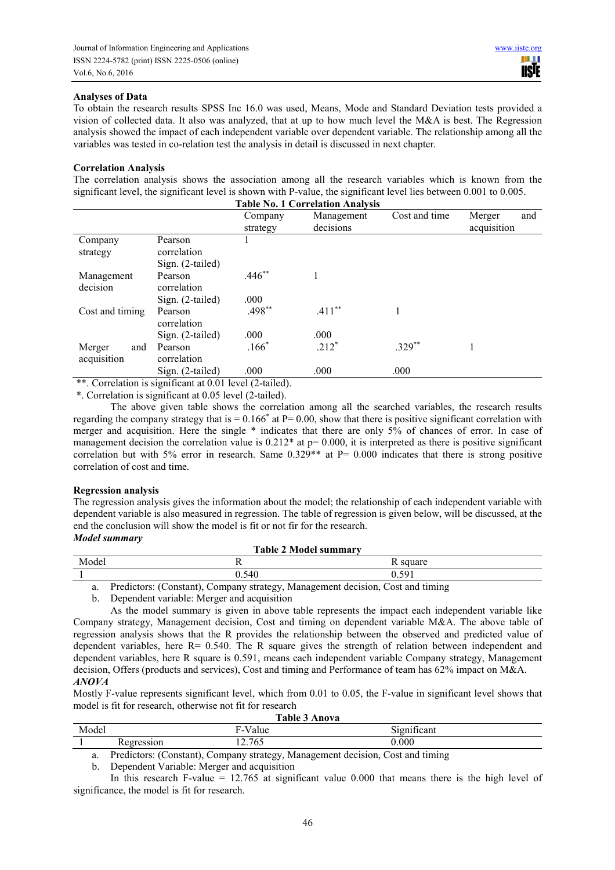## **Analyses of Data**

To obtain the research results SPSS Inc 16.0 was used, Means, Mode and Standard Deviation tests provided a vision of collected data. It also was analyzed, that at up to how much level the M&A is best. The Regression analysis showed the impact of each independent variable over dependent variable. The relationship among all the variables was tested in co-relation test the analysis in detail is discussed in next chapter.

#### **Correlation Analysis**

The correlation analysis shows the association among all the research variables which is known from the significant level, the significant level is shown with P-value, the significant level lies between 0.001 to 0.005. **Table No. 1 Correlation Analysis**

|                 |                  | Company  | Management | Cost and time | Merger<br>and |
|-----------------|------------------|----------|------------|---------------|---------------|
|                 |                  | strategy | decisions  |               | acquisition   |
| Company         | Pearson          |          |            |               |               |
| strategy        | correlation      |          |            |               |               |
|                 | Sign. (2-tailed) |          |            |               |               |
| Management      | Pearson          | $.446**$ |            |               |               |
| decision        | correlation      |          |            |               |               |
|                 | Sign. (2-tailed) | .000     |            |               |               |
| Cost and timing | Pearson          | $.498**$ | $.411***$  |               |               |
|                 | correlation      |          |            |               |               |
|                 | Sign. (2-tailed) | .000     | .000       |               |               |
| Merger<br>and   | Pearson          | $.166*$  | $.212*$    | $.329**$      |               |
| acquisition     | correlation      |          |            |               |               |
|                 | Sign. (2-tailed) | .000     | .000       | .000          |               |

\*\*. Correlation is significant at 0.01 level (2-tailed).

\*. Correlation is significant at 0.05 level (2-tailed).

The above given table shows the correlation among all the searched variables, the research results regarding the company strategy that is  $= 0.166^*$  at  $P = 0.00$ , show that there is positive significant correlation with merger and acquisition. Here the single \* indicates that there are only 5% of chances of error. In case of management decision the correlation value is  $0.212*$  at  $p= 0.000$ , it is interpreted as there is positive significant correlation but with 5% error in research. Same  $0.329**$  at P=  $0.000$  indicates that there is strong positive correlation of cost and time.

#### **Regression analysis**

The regression analysis gives the information about the model; the relationship of each independent variable with dependent variable is also measured in regression. The table of regression is given below, will be discussed, at the end the conclusion will show the model is fit or not fir for the research.

# *Model summary*

| l adie 2 Model summary |                     |                      |                      |                          |  |
|------------------------|---------------------|----------------------|----------------------|--------------------------|--|
| Model                  |                     |                      |                      | square<br>$\mathbf{v}$   |  |
|                        |                     |                      | 540<br>$\sim$<br>U.J | 501<br>v. <i>j</i> / 1   |  |
|                        | $\cdot$<br><b>D</b> | $\sqrt{ }$<br>$\sim$ | $\mathbf{r}$         | $\overline{\phantom{0}}$ |  |

a. Predictors: (Constant), Company strategy, Management decision, Cost and timing

**Table 2 Model summary** 

b. Dependent variable: Merger and acquisition

Mostly F-value represents significant level, which from 0.01 to 0.05, the F-value in significant level shows that model is fit for research, otherwise not fit for research

| <b>Table 3 Anova</b> |            |                                                                                 |             |  |  |
|----------------------|------------|---------------------------------------------------------------------------------|-------------|--|--|
| Model                |            | F-Value                                                                         | Significant |  |  |
|                      | Regression | .2.765                                                                          | 0.000       |  |  |
| -                    |            | Due distance (Constant), Commons studence Monographer desigion, Cost and timing |             |  |  |

a. Predictors: (Constant), Company strategy, Management decision, Cost and timing

b. Dependent Variable: Merger and acquisition

In this research F-value = 12.765 at significant value 0.000 that means there is the high level of significance, the model is fit for research.

As the model summary is given in above table represents the impact each independent variable like Company strategy, Management decision, Cost and timing on dependent variable M&A. The above table of regression analysis shows that the R provides the relationship between the observed and predicted value of dependent variables, here  $R = 0.540$ . The R square gives the strength of relation between independent and dependent variables, here R square is 0.591, means each independent variable Company strategy, Management decision, Offers (products and services), Cost and timing and Performance of team has 62% impact on M&A. *ANOVA*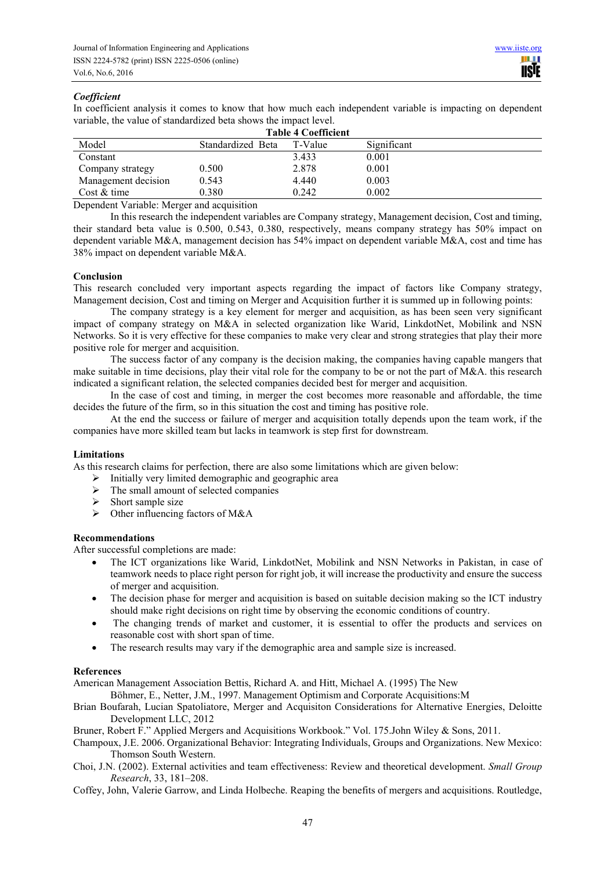# *Coefficient*

In coefficient analysis it comes to know that how much each independent variable is impacting on dependent variable, the value of standardized beta shows the impact level.

| <b>Table 4 Coefficient</b> |                   |         |             |  |
|----------------------------|-------------------|---------|-------------|--|
| Model                      | Standardized Beta | T-Value | Significant |  |
| Constant                   |                   | 3.433   | 0.001       |  |
| Company strategy           | 0.500             | 2.878   | 0.001       |  |
| Management decision        | 0.543             | 4.440   | 0.003       |  |
| Cost & time                | 0.380             | 0.242   | 0.002       |  |

Dependent Variable: Merger and acquisition

In this research the independent variables are Company strategy, Management decision, Cost and timing, their standard beta value is 0.500, 0.543, 0.380, respectively, means company strategy has 50% impact on dependent variable M&A, management decision has 54% impact on dependent variable M&A, cost and time has 38% impact on dependent variable M&A.

#### **Conclusion**

This research concluded very important aspects regarding the impact of factors like Company strategy, Management decision, Cost and timing on Merger and Acquisition further it is summed up in following points:

The company strategy is a key element for merger and acquisition, as has been seen very significant impact of company strategy on M&A in selected organization like Warid, LinkdotNet, Mobilink and NSN Networks. So it is very effective for these companies to make very clear and strong strategies that play their more positive role for merger and acquisition.

The success factor of any company is the decision making, the companies having capable mangers that make suitable in time decisions, play their vital role for the company to be or not the part of M&A. this research indicated a significant relation, the selected companies decided best for merger and acquisition.

In the case of cost and timing, in merger the cost becomes more reasonable and affordable, the time decides the future of the firm, so in this situation the cost and timing has positive role.

At the end the success or failure of merger and acquisition totally depends upon the team work, if the companies have more skilled team but lacks in teamwork is step first for downstream.

#### **Limitations**

As this research claims for perfection, there are also some limitations which are given below:

- $\triangleright$  Initially very limited demographic and geographic area
- $\triangleright$  The small amount of selected companies
- $\triangleright$  Short sample size
- $\triangleright$  Other influencing factors of M&A

#### **Recommendations**

After successful completions are made:

- The ICT organizations like Warid, LinkdotNet, Mobilink and NSN Networks in Pakistan, in case of teamwork needs to place right person for right job, it will increase the productivity and ensure the success of merger and acquisition.
- The decision phase for merger and acquisition is based on suitable decision making so the ICT industry should make right decisions on right time by observing the economic conditions of country.
- The changing trends of market and customer, it is essential to offer the products and services on reasonable cost with short span of time.
- The research results may vary if the demographic area and sample size is increased.

## **References**

American Management Association Bettis, Richard A. and Hitt, Michael A. (1995) The New

Böhmer, E., Netter, J.M., 1997. Management Optimism and Corporate Acquisitions:M

Brian Boufarah, Lucian Spatoliatore, Merger and Acquisiton Considerations for Alternative Energies, Deloitte Development LLC, 2012

Bruner, Robert F." Applied Mergers and Acquisitions Workbook." Vol. 175.John Wiley & Sons, 2011.

- Champoux, J.E. 2006. Organizational Behavior: Integrating Individuals, Groups and Organizations. New Mexico: Thomson South Western.
- Choi, J.N. (2002). External activities and team effectiveness: Review and theoretical development. *Small Group Research*, 33, 181–208.

Coffey, John, Valerie Garrow, and Linda Holbeche. Reaping the benefits of mergers and acquisitions. Routledge,